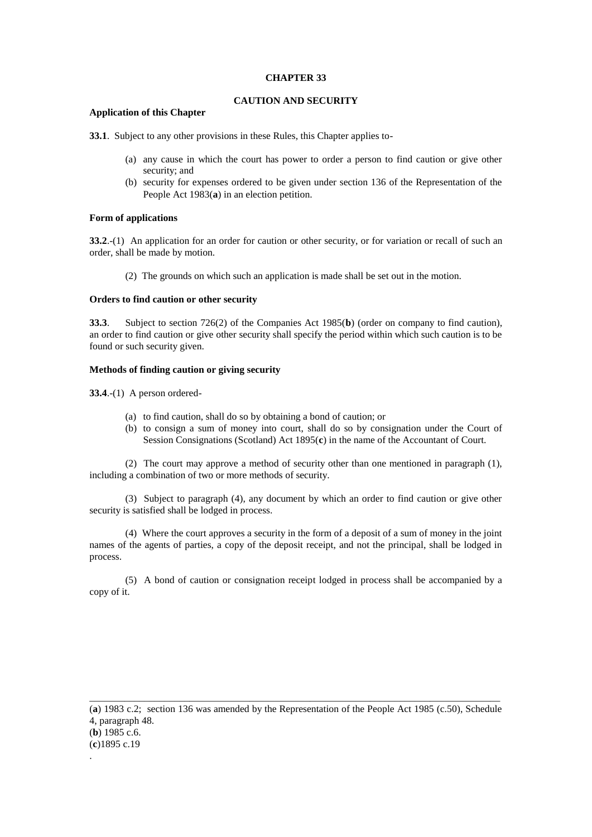## **CHAPTER 33**

# **CAUTION AND SECURITY**

# **Application of this Chapter**

**33.1**. Subject to any other provisions in these Rules, this Chapter applies to-

- (a) any cause in which the court has power to order a person to find caution or give other security; and
- (b) security for expenses ordered to be given under section 136 of the Representation of the People Act 1983(**a**) in an election petition.

## **Form of applications**

**33.2.**-(1) An application for an order for caution or other security, or for variation or recall of such an order, shall be made by motion.

(2) The grounds on which such an application is made shall be set out in the motion.

#### **Orders to find caution or other security**

**33.3**. Subject to section 726(2) of the Companies Act 1985(**b**) (order on company to find caution), an order to find caution or give other security shall specify the period within which such caution is to be found or such security given.

## **Methods of finding caution or giving security**

**33.4**.-(1) A person ordered-

- (a) to find caution, shall do so by obtaining a bond of caution; or
- (b) to consign a sum of money into court, shall do so by consignation under the Court of Session Consignations (Scotland) Act 1895(**c**) in the name of the Accountant of Court.

(2) The court may approve a method of security other than one mentioned in paragraph (1), including a combination of two or more methods of security.

(3) Subject to paragraph (4), any document by which an order to find caution or give other security is satisfied shall be lodged in process.

(4) Where the court approves a security in the form of a deposit of a sum of money in the joint names of the agents of parties, a copy of the deposit receipt, and not the principal, shall be lodged in process.

(5) A bond of caution or consignation receipt lodged in process shall be accompanied by a copy of it.

\_\_\_\_\_\_\_\_\_\_\_\_\_\_\_\_\_\_\_\_\_\_\_\_\_\_\_\_\_\_\_\_\_\_\_\_\_\_\_\_\_\_\_\_\_\_\_\_\_\_\_\_\_\_\_\_\_\_\_\_\_\_\_\_\_\_\_\_\_\_\_\_\_\_\_\_\_\_\_\_\_\_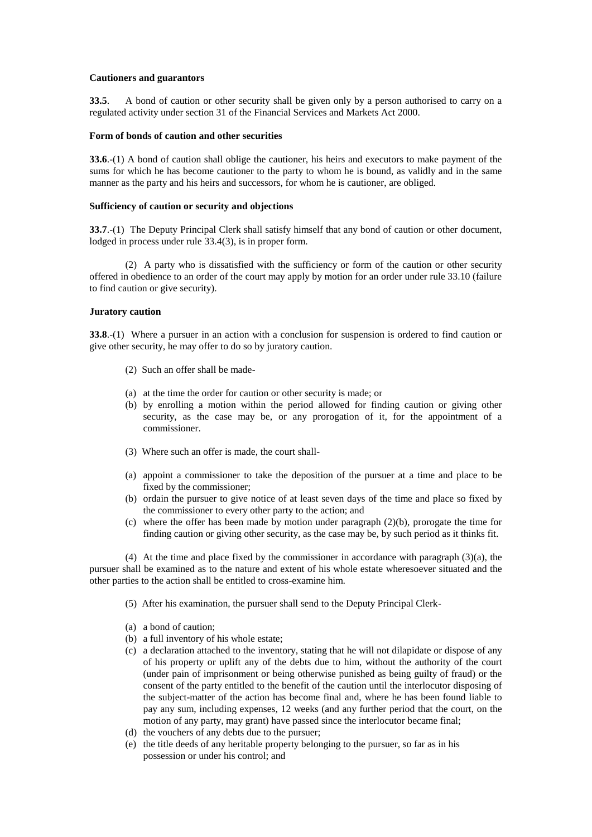## **Cautioners and guarantors**

**33.5**. A bond of caution or other security shall be given only by a person authorised to carry on a regulated activity under section 31 of the Financial Services and Markets Act 2000.

## **Form of bonds of caution and other securities**

**33.6**.-(1) A bond of caution shall oblige the cautioner, his heirs and executors to make payment of the sums for which he has become cautioner to the party to whom he is bound, as validly and in the same manner as the party and his heirs and successors, for whom he is cautioner, are obliged.

#### **Sufficiency of caution or security and objections**

**33.7.**-(1) The Deputy Principal Clerk shall satisfy himself that any bond of caution or other document, lodged in process under rule 33.4(3), is in proper form.

(2) A party who is dissatisfied with the sufficiency or form of the caution or other security offered in obedience to an order of the court may apply by motion for an order under rule 33.10 (failure to find caution or give security).

## **Juratory caution**

**33.8**.-(1) Where a pursuer in an action with a conclusion for suspension is ordered to find caution or give other security, he may offer to do so by juratory caution.

- (2) Such an offer shall be made-
- (a) at the time the order for caution or other security is made; or
- (b) by enrolling a motion within the period allowed for finding caution or giving other security, as the case may be, or any prorogation of it, for the appointment of a commissioner.
- (3) Where such an offer is made, the court shall-
- (a) appoint a commissioner to take the deposition of the pursuer at a time and place to be fixed by the commissioner;
- (b) ordain the pursuer to give notice of at least seven days of the time and place so fixed by the commissioner to every other party to the action; and
- (c) where the offer has been made by motion under paragraph (2)(b), prorogate the time for finding caution or giving other security, as the case may be, by such period as it thinks fit.

(4) At the time and place fixed by the commissioner in accordance with paragraph (3)(a), the pursuer shall be examined as to the nature and extent of his whole estate wheresoever situated and the other parties to the action shall be entitled to cross-examine him.

- (5) After his examination, the pursuer shall send to the Deputy Principal Clerk-
- (a) a bond of caution;
- (b) a full inventory of his whole estate;
- (c) a declaration attached to the inventory, stating that he will not dilapidate or dispose of any of his property or uplift any of the debts due to him, without the authority of the court (under pain of imprisonment or being otherwise punished as being guilty of fraud) or the consent of the party entitled to the benefit of the caution until the interlocutor disposing of the subject-matter of the action has become final and, where he has been found liable to pay any sum, including expenses, 12 weeks (and any further period that the court, on the motion of any party, may grant) have passed since the interlocutor became final;
- (d) the vouchers of any debts due to the pursuer;
- (e) the title deeds of any heritable property belonging to the pursuer, so far as in his possession or under his control; and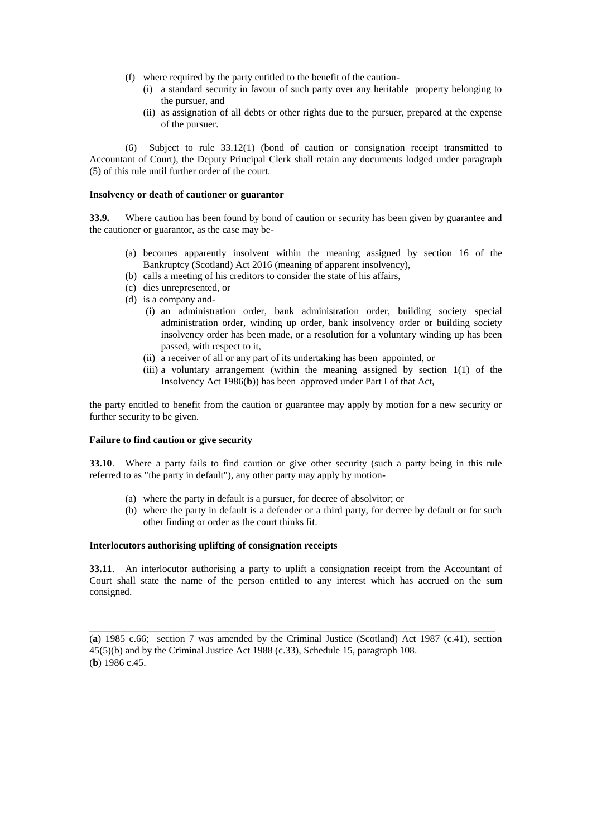- (f) where required by the party entitled to the benefit of the caution-
	- (i) a standard security in favour of such party over any heritable property belonging to the pursuer, and
	- (ii) as assignation of all debts or other rights due to the pursuer, prepared at the expense of the pursuer.

(6) Subject to rule 33.12(1) (bond of caution or consignation receipt transmitted to Accountant of Court), the Deputy Principal Clerk shall retain any documents lodged under paragraph (5) of this rule until further order of the court.

#### **Insolvency or death of cautioner or guarantor**

**33.9.** Where caution has been found by bond of caution or security has been given by guarantee and the cautioner or guarantor, as the case may be-

- (a) becomes apparently insolvent within the meaning assigned by section 16 of the Bankruptcy (Scotland) Act 2016 (meaning of apparent insolvency),
- (b) calls a meeting of his creditors to consider the state of his affairs,
- (c) dies unrepresented, or
- $(d)$  is a company and-
	- (i) an administration order, bank administration order, building society special administration order, winding up order, bank insolvency order or building society insolvency order has been made, or a resolution for a voluntary winding up has been passed, with respect to it,
	- (ii) a receiver of all or any part of its undertaking has been appointed, or
	- (iii) a voluntary arrangement (within the meaning assigned by section 1(1) of the Insolvency Act 1986(**b**)) has been approved under Part I of that Act,

the party entitled to benefit from the caution or guarantee may apply by motion for a new security or further security to be given.

### **Failure to find caution or give security**

**33.10**. Where a party fails to find caution or give other security (such a party being in this rule referred to as "the party in default"), any other party may apply by motion-

- (a) where the party in default is a pursuer, for decree of absolvitor; or
- (b) where the party in default is a defender or a third party, for decree by default or for such other finding or order as the court thinks fit.

#### **Interlocutors authorising uplifting of consignation receipts**

**33.11**. An interlocutor authorising a party to uplift a consignation receipt from the Accountant of Court shall state the name of the person entitled to any interest which has accrued on the sum consigned.

(**a**) 1985 c.66; section 7 was amended by the Criminal Justice (Scotland) Act 1987 (c.41), section 45(5)(b) and by the Criminal Justice Act 1988 (c.33), Schedule 15, paragraph 108. (**b**) 1986 c.45.

\_\_\_\_\_\_\_\_\_\_\_\_\_\_\_\_\_\_\_\_\_\_\_\_\_\_\_\_\_\_\_\_\_\_\_\_\_\_\_\_\_\_\_\_\_\_\_\_\_\_\_\_\_\_\_\_\_\_\_\_\_\_\_\_\_\_\_\_\_\_\_\_\_\_\_\_\_\_\_\_\_